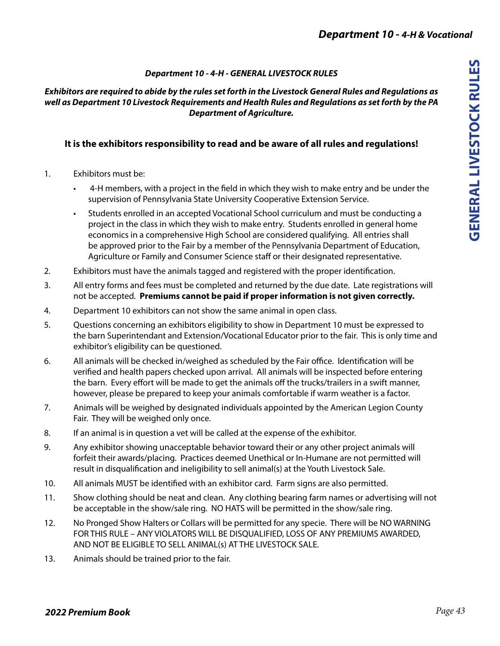## *Department 10 - 4-H - GENERAL LIVESTOCK RULES*

#### *Exhibitors are required to abide by the rules set forth in the Livestock General Rules and Regulations as well as Department 10 Livestock Requirements and Health Rules and Regulations as set forth by the PA Department of Agriculture.*

## **It is the exhibitors responsibility to read and be aware of all rules and regulations!**

- 1. Exhibitors must be:
	- 4-H members, with a project in the field in which they wish to make entry and be under the supervision of Pennsylvania State University Cooperative Extension Service.
	- Students enrolled in an accepted Vocational School curriculum and must be conducting a project in the class in which they wish to make entry. Students enrolled in general home economics in a comprehensive High School are considered qualifying. All entries shall be approved prior to the Fair by a member of the Pennsylvania Department of Education, Agriculture or Family and Consumer Science staff or their designated representative.
- 2. Exhibitors must have the animals tagged and registered with the proper identification.
- 3. All entry forms and fees must be completed and returned by the due date. Late registrations will not be accepted. **Premiums cannot be paid if proper information is not given correctly.**
- 4. Department 10 exhibitors can not show the same animal in open class.
- 5. Questions concerning an exhibitors eligibility to show in Department 10 must be expressed to the barn Superintendant and Extension/Vocational Educator prior to the fair. This is only time and exhibitor's eligibility can be questioned.
- 6. All animals will be checked in/weighed as scheduled by the Fair office. Identification will be verified and health papers checked upon arrival. All animals will be inspected before entering the barn. Every effort will be made to get the animals off the trucks/trailers in a swift manner, however, please be prepared to keep your animals comfortable if warm weather is a factor.
- 7. Animals will be weighed by designated individuals appointed by the American Legion County Fair. They will be weighed only once.
- 8. If an animal is in question a vet will be called at the expense of the exhibitor.
- 9. Any exhibitor showing unacceptable behavior toward their or any other project animals will forfeit their awards/placing. Practices deemed Unethical or In-Humane are not permitted will result in disqualification and ineligibility to sell animal(s) at the Youth Livestock Sale.
- 10. All animals MUST be identified with an exhibitor card. Farm signs are also permitted.
- 11. Show clothing should be neat and clean. Any clothing bearing farm names or advertising will not be acceptable in the show/sale ring. NO HATS will be permitted in the show/sale ring.
- 12. No Pronged Show Halters or Collars will be permitted for any specie. There will be NO WARNING FOR THIS RULE – ANY VIOLATORS WILL BE DISQUALIFIED, LOSS OF ANY PREMIUMS AWARDED, AND NOT BE ELIGIBLE TO SELL ANIMAL(s) AT THE LIVESTOCK SALE.
- 13. Animals should be trained prior to the fair.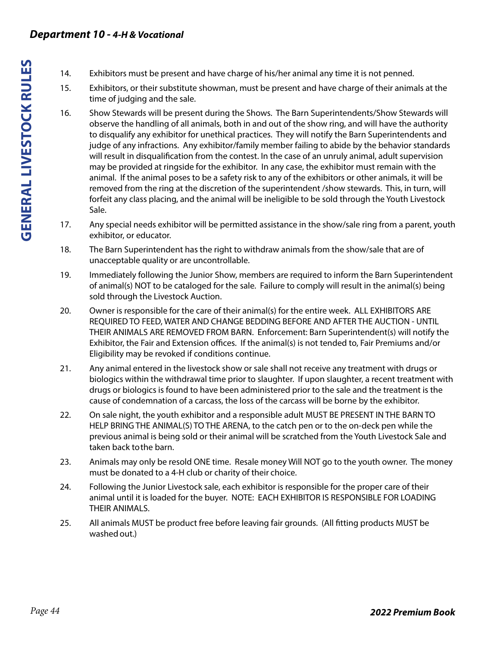## *Department 10 - 4-H & Vocational*

- 14. Exhibitors must be present and have charge of his/her animal any time it is not penned.
- 15. Exhibitors, or their substitute showman, must be present and have charge of their animals at the time of judging and the sale.
- 16. Show Stewards will be present during the Shows. The Barn Superintendents/Show Stewards will observe the handling of all animals, both in and out of the show ring, and will have the authority to disqualify any exhibitor for unethical practices. They will notify the Barn Superintendents and judge of any infractions. Any exhibitor/family member failing to abide by the behavior standards will result in disqualification from the contest. In the case of an unruly animal, adult supervision may be provided at ringside for the exhibitor. In any case, the exhibitor must remain with the animal. If the animal poses to be a safety risk to any of the exhibitors or other animals, it will be removed from the ring at the discretion of the superintendent /show stewards. This, in turn, will forfeit any class placing, and the animal will be ineligible to be sold through the Youth Livestock Sale.
- 17. Any special needs exhibitor will be permitted assistance in the show/sale ring from a parent, youth exhibitor, or educator.
- 18. The Barn Superintendent has the right to withdraw animals from the show/sale that are of unacceptable quality or are uncontrollable.
- 19. Immediately following the Junior Show, members are required to inform the Barn Superintendent of animal(s) NOT to be cataloged for the sale. Failure to comply will result in the animal(s) being sold through the Livestock Auction.
- 20. Owner is responsible for the care of their animal(s) for the entire week. ALL EXHIBITORS ARE REQUIRED TO FEED, WATER AND CHANGE BEDDING BEFORE AND AFTER THE AUCTION - UNTIL THEIR ANIMALS ARE REMOVED FROM BARN. Enforcement: Barn Superintendent(s) will notify the Exhibitor, the Fair and Extension offices. If the animal(s) is not tended to, Fair Premiums and/or Eligibility may be revoked if conditions continue.
- 21. Any animal entered in the livestock show or sale shall not receive any treatment with drugs or biologics within the withdrawal time prior to slaughter. If upon slaughter, a recent treatment with drugs or biologics is found to have been administered prior to the sale and the treatment is the cause of condemnation of a carcass, the loss of the carcass will be borne by the exhibitor.
- 22. On sale night, the youth exhibitor and a responsible adult MUST BE PRESENT IN THE BARN TO HELP BRING THE ANIMAL(S) TO THE ARENA, to the catch pen or to the on-deck pen while the previous animal is being sold or their animal will be scratched from the Youth Livestock Sale and taken back to the barn.
- 23. Animals may only be resold ONE time. Resale money Will NOT go to the youth owner. The money must be donated to a 4-H club or charity of their choice.
- 24. Following the Junior Livestock sale, each exhibitor is responsible for the proper care of their animal until it is loaded for the buyer. NOTE: EACH EXHIBITOR IS RESPONSIBLE FOR LOADING THEIR ANIMALS.
- 25. All animals MUST be product free before leaving fair grounds. (All fitting products MUST be washed out.)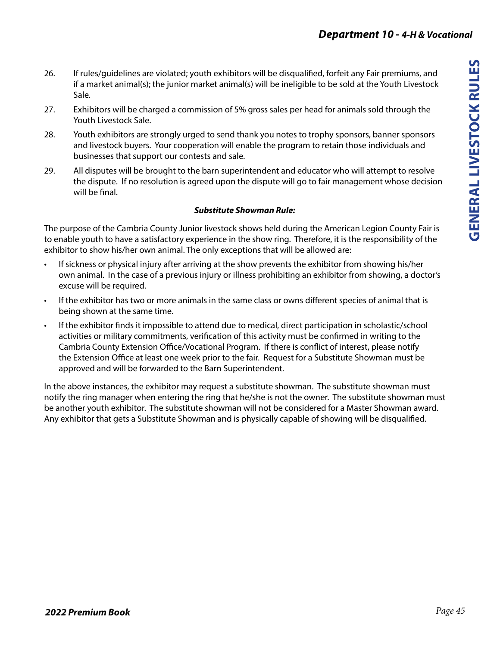- 26. If rules/guidelines are violated; youth exhibitors will be disqualified, forfeit any Fair premiums, and if a market animal(s); the junior market animal(s) will be ineligible to be sold at the Youth Livestock Sale.
- 27. Exhibitors will be charged a commission of 5% gross sales per head for animals sold through the Youth Livestock Sale.
- 28. Youth exhibitors are strongly urged to send thank you notes to trophy sponsors, banner sponsors and livestock buyers. Your cooperation will enable the program to retain those individuals and businesses that support our contests and sale.
- 29. All disputes will be brought to the barn superintendent and educator who will attempt to resolve the dispute. If no resolution is agreed upon the dispute will go to fair management whose decision will be final.

## *Substitute Showman Rule:*

The purpose of the Cambria County Junior livestock shows held during the American Legion County Fair is to enable youth to have a satisfactory experience in the show ring. Therefore, it is the responsibility of the exhibitor to show his/her own animal. The only exceptions that will be allowed are:

- If sickness or physical injury after arriving at the show prevents the exhibitor from showing his/her own animal. In the case of a previous injury or illness prohibiting an exhibitor from showing, a doctor's excuse will be required.
- If the exhibitor has two or more animals in the same class or owns different species of animal that is being shown at the same time.
- If the exhibitor finds it impossible to attend due to medical, direct participation in scholastic/school activities or military commitments, verification of this activity must be confirmed in writing to the Cambria County Extension Office/Vocational Program. If there is conflict of interest, please notify the Extension Office at least one week prior to the fair. Request for a Substitute Showman must be approved and will be forwarded to the Barn Superintendent.

In the above instances, the exhibitor may request a substitute showman. The substitute showman must notify the ring manager when entering the ring that he/she is not the owner. The substitute showman must be another youth exhibitor. The substitute showman will not be considered for a Master Showman award. Any exhibitor that gets a Substitute Showman and is physically capable of showing will be disqualified.